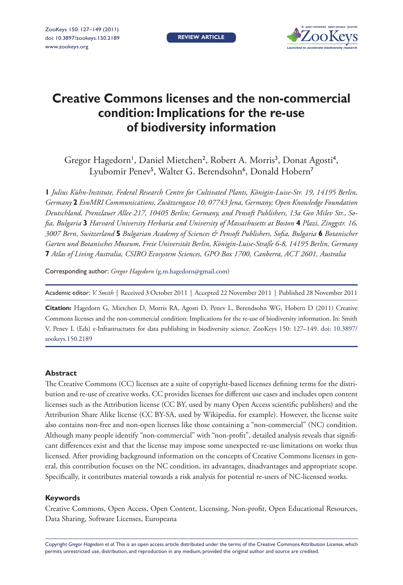**ReVIEW article**



# **Creative Commons licenses and the non-commercial condition: Implications for the re-use of biodiversity information**

Gregor Hagedorn<sup>1</sup>, Daniel Mietchen<sup>2</sup>, Robert A. Morris<sup>3</sup>, Donat Agosti<sup>4</sup>, Lyubomir Penev<sup>5</sup>, Walter G. Berendsohn<sup>6</sup>, Donald Hobern<sup>7</sup>

**1** *Julius Kühn-Institute, Federal Research Centre for Cultivated Plants, Königin-Luise-Str. 19, 14195 Berlin, Germany* **2** *EvoMRI Communications, Zwätzengasse 10, 07743 Jena, Germany; Open Knowledge Foundation Deutschland, Prenzlauer Allee 217, 10405 Berlin; Germany, and Pensoft Publishers, 13a Geo Milev Str., Sofia, Bulgaria* **3** *Harvard University Herbaria and University of Massachusetts at Boston* **4** *Plazi, Zinggstr. 16, 3007 Bern, Switzerland* **5** *Bulgarian Academy of Sciences & Pensoft Publishers, Sofia, Bulgaria* **6** *Botanischer Garten und Botanisches Museum, Freie Universität Berlin, Königin-Luise-Straße 6-8, 14195 Berlin, Germany*  **7** *Atlas of Living Australia, CSIRO Ecosystem Sciences, GPO Box 1700, Canberra, ACT 2601, Australia*

Corresponding author: *Gregor Hagedorn* [\(g.m.hagedorn@gmail.com](mailto:g.m.hagedorn@gmail.com))

Academic editor: *V. Smith* | Received 3 October 2011 | Accepted 22 November 2011 | Published 28 November 2011

**Citation:** Hagedorn G, Mietchen D, Morris RA, Agosti D, Penev L, Berendsohn WG, Hobern D (2011) Creative Commons licenses and the non-commercial condition: Implications for the re-use of biodiversity information. In: Smith V, Penev L (Eds) e-Infrastructures for data publishing in biodiversity science. ZooKeys 150: 127–149. [doi: 10.3897/](http://dx.doi.org/10.3897/zookeys.150.2189) [zookeys.150.2189](http://dx.doi.org/10.3897/zookeys.150.2189)

## **Abstract**

The Creative Commons (CC) licenses are a suite of copyright-based licenses defining terms for the distribution and re-use of creative works. CC provides licenses for different use cases and includes open content licenses such as the Attribution license (CC BY, used by many Open Access scientific publishers) and the Attribution Share Alike license (CC BY-SA, used by Wikipedia, for example). However, the license suite also contains non-free and non-open licenses like those containing a "non-commercial" (NC) condition. Although many people identify "non-commercial" with "non-profit", detailed analysis reveals that significant differences exist and that the license may impose some unexpected re-use limitations on works thus licensed. After providing background information on the concepts of Creative Commons licenses in general, this contribution focuses on the NC condition, its advantages, disadvantages and appropriate scope. Specifically, it contributes material towards a risk analysis for potential re-users of NC-licensed works.

## **Keywords**

Creative Commons, Open Access, Open Content, Licensing, Non-profit, Open Educational Resources, Data Sharing, Software Licenses, Europeana

Copyright *Gregor Hagedorn et al.* This is an open access article distributed under the terms of the [Creative Commons Attribution License,](http://creativecommons.org/licenses/by/3.0/) which permits unrestricted use, distribution, and reproduction in any medium, provided the original author and source are credited.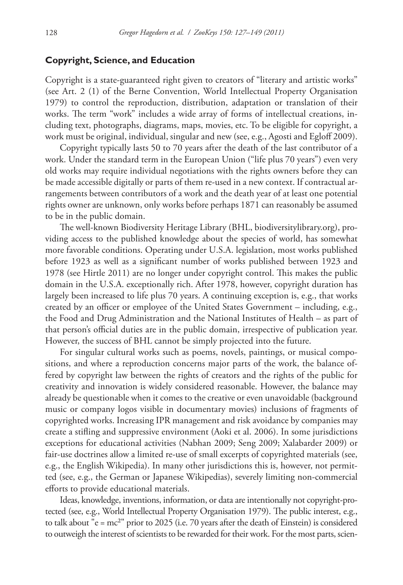# **Copyright, Science, and Education**

Copyright is a state-guaranteed right given to creators of "literary and artistic works" (see Art. 2 (1) of the Berne Convention, World Intellectual Property Organisation 1979) to control the reproduction, distribution, adaptation or translation of their works. The term "work" includes a wide array of forms of intellectual creations, including text, photographs, diagrams, maps, movies, etc. To be eligible for copyright, a work must be original, individual, singular and new (see, e.g., Agosti and Egloff 2009).

Copyright typically lasts 50 to 70 years after the death of the last contributor of a work. Under the standard term in the European Union ("life plus 70 years") even very old works may require individual negotiations with the rights owners before they can be made accessible digitally or parts of them re-used in a new context. If contractual arrangements between contributors of a work and the death year of at least one potential rights owner are unknown, only works before perhaps 1871 can reasonably be assumed to be in the public domain.

The well-known Biodiversity Heritage Library (BHL, [biodiversitylibrary.org\)](http://www.biodiversitylibrary.org), providing access to the published knowledge about the species of world, has somewhat more favorable conditions. Operating under U.S.A. legislation, most works published before 1923 as well as a significant number of works published between 1923 and 1978 (see Hirtle 2011) are no longer under copyright control. This makes the public domain in the U.S.A. exceptionally rich. After 1978, however, copyright duration has largely been increased to life plus 70 years. A continuing exception is, e.g., that works created by an officer or employee of the United States Government – including, e.g., the Food and Drug Administration and the National Institutes of Health – as part of that person's official duties are in the public domain, irrespective of publication year. However, the success of BHL cannot be simply projected into the future.

For singular cultural works such as poems, novels, paintings, or musical compositions, and where a reproduction concerns major parts of the work, the balance offered by copyright law between the rights of creators and the rights of the public for creativity and innovation is widely considered reasonable. However, the balance may already be questionable when it comes to the creative or even unavoidable (background music or company logos visible in documentary movies) inclusions of fragments of copyrighted works. Increasing IPR management and risk avoidance by companies may create a stifling and suppressive environment (Aoki et al. 2006). In some jurisdictions exceptions for educational activities (Nabhan 2009; Seng 2009; Xalabarder 2009) or fair-use doctrines allow a limited re-use of small excerpts of copyrighted materials (see, e.g., the English Wikipedia). In many other jurisdictions this is, however, not permitted (see, e.g., the German or Japanese Wikipedias), severely limiting non-commercial efforts to provide educational materials.

Ideas, knowledge, inventions, information, or data are intentionally not copyright-protected (see, e.g., World Intellectual Property Organisation 1979). The public interest, e.g., to talk about " $e = mc^{2}$ " prior to 2025 (i.e. 70 years after the death of Einstein) is considered to outweigh the interest of scientists to be rewarded for their work. For the most parts, scien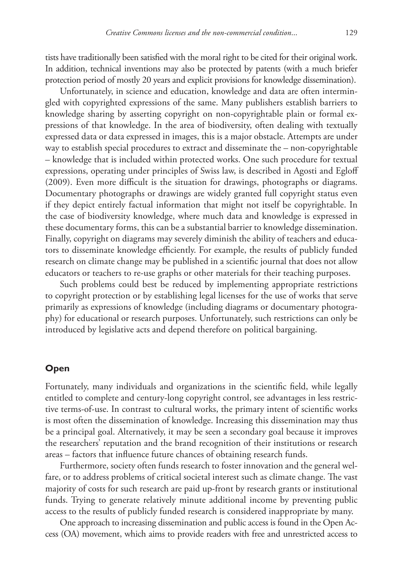tists have traditionally been satisfied with the moral right to be cited for their original work. In addition, technical inventions may also be protected by patents (with a much briefer protection period of mostly 20 years and explicit provisions for knowledge dissemination).

Unfortunately, in science and education, knowledge and data are often intermingled with copyrighted expressions of the same. Many publishers establish barriers to knowledge sharing by asserting copyright on non-copyrightable plain or formal expressions of that knowledge. In the area of biodiversity, often dealing with textually expressed data or data expressed in images, this is a major obstacle. Attempts are under way to establish special procedures to extract and disseminate the – non-copyrightable – knowledge that is included within protected works. One such procedure for textual expressions, operating under principles of Swiss law, is described in Agosti and Egloff (2009). Even more difficult is the situation for drawings, photographs or diagrams. Documentary photographs or drawings are widely granted full copyright status even if they depict entirely factual information that might not itself be copyrightable. In the case of biodiversity knowledge, where much data and knowledge is expressed in these documentary forms, this can be a substantial barrier to knowledge dissemination. Finally, copyright on diagrams may severely diminish the ability of teachers and educators to disseminate knowledge efficiently. For example, the results of publicly funded research on climate change may be published in a scientific journal that does not allow educators or teachers to re-use graphs or other materials for their teaching purposes.

Such problems could best be reduced by implementing appropriate restrictions to copyright protection or by establishing legal licenses for the use of works that serve primarily as expressions of knowledge (including diagrams or documentary photography) for educational or research purposes. Unfortunately, such restrictions can only be introduced by legislative acts and depend therefore on political bargaining.

# **Open**

Fortunately, many individuals and organizations in the scientific field, while legally entitled to complete and century-long copyright control, see advantages in less restrictive terms-of-use. In contrast to cultural works, the primary intent of scientific works is most often the dissemination of knowledge. Increasing this dissemination may thus be a principal goal. Alternatively, it may be seen a secondary goal because it improves the researchers' reputation and the brand recognition of their institutions or research areas – factors that influence future chances of obtaining research funds.

Furthermore, society often funds research to foster innovation and the general welfare, or to address problems of critical societal interest such as climate change. The vast majority of costs for such research are paid up-front by research grants or institutional funds. Trying to generate relatively minute additional income by preventing public access to the results of publicly funded research is considered inappropriate by many.

One approach to increasing dissemination and public access is found in the Open Access (OA) movement, which aims to provide readers with free and unrestricted access to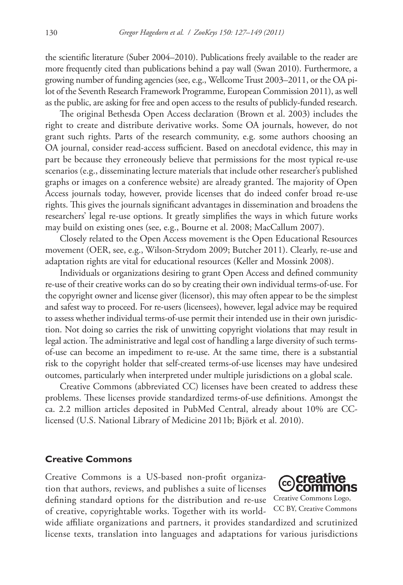the scientific literature (Suber 2004–2010). Publications freely available to the reader are more frequently cited than publications behind a pay wall (Swan 2010). Furthermore, a growing number of funding agencies (see, e.g., Wellcome Trust 2003–2011, or the OA pilot of the Seventh Research Framework Programme, European Commission 2011), as well as the public, are asking for free and open access to the results of publicly-funded research.

The original Bethesda Open Access declaration (Brown et al. 2003) includes the right to create and distribute derivative works. Some OA journals, however, do not grant such rights. Parts of the research community, e.g. some authors choosing an OA journal, consider read-access sufficient. Based on anecdotal evidence, this may in part be because they erroneously believe that permissions for the most typical re-use scenarios (e.g., disseminating lecture materials that include other researcher's published graphs or images on a conference website) are already granted. The majority of Open Access journals today, however, provide licenses that do indeed confer broad re-use rights. This gives the journals significant advantages in dissemination and broadens the researchers' legal re-use options. It greatly simplifies the ways in which future works may build on existing ones (see, e.g., Bourne et al. 2008; MacCallum 2007).

Closely related to the Open Access movement is the Open Educational Resources movement (OER, see, e.g., Wilson-Strydom 2009; Butcher 2011). Clearly, re-use and adaptation rights are vital for educational resources (Keller and Mossink 2008).

Individuals or organizations desiring to grant Open Access and defined community re-use of their creative works can do so by creating their own individual terms-of-use. For the copyright owner and license giver (licensor), this may often appear to be the simplest and safest way to proceed. For re-users (licensees), however, legal advice may be required to assess whether individual terms-of-use permit their intended use in their own jurisdiction. Not doing so carries the risk of unwitting copyright violations that may result in legal action. The administrative and legal cost of handling a large diversity of such termsof-use can become an impediment to re-use. At the same time, there is a substantial risk to the copyright holder that self-created terms-of-use licenses may have undesired outcomes, particularly when interpreted under multiple jurisdictions on a global scale.

Creative Commons (abbreviated CC) licenses have been created to address these problems. These licenses provide standardized terms-of-use definitions. Amongst the ca. 2.2 million articles deposited in PubMed Central, already about 10% are CClicensed (U.S. National Library of Medicine 2011b; Björk et al. 2010).

# **Creative Commons**

Creative Commons is a US-based non-profit organization that authors, reviews, and publishes a suite of licenses defining standard options for the distribution and re-use of creative, copyrightable works. Together with its world-

cocreative **'commons** Creative Commons Logo,

CC BY, Creative Commons

wide affiliate organizations and partners, it provides standardized and scrutinized license texts, translation into languages and adaptations for various jurisdictions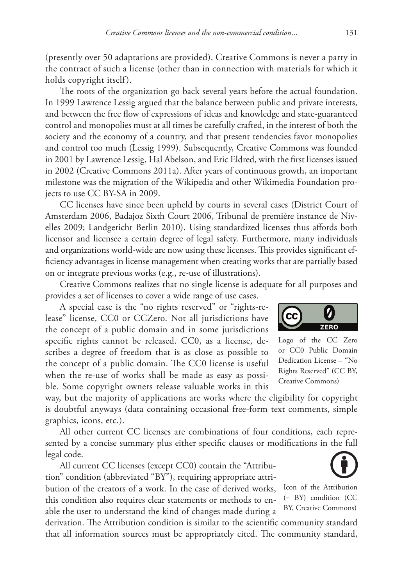(presently over 50 adaptations are provided). Creative Commons is never a party in the contract of such a license (other than in connection with materials for which it holds copyright itself).

The roots of the organization go back several years before the actual foundation. In 1999 Lawrence Lessig argued that the balance between public and private interests, and between the free flow of expressions of ideas and knowledge and state-guaranteed control and monopolies must at all times be carefully crafted, in the interest of both the society and the economy of a country, and that present tendencies favor monopolies and control too much (Lessig 1999). Subsequently, Creative Commons was founded in 2001 by Lawrence Lessig, Hal Abelson, and Eric Eldred, with the first licenses issued in 2002 (Creative Commons 2011a). After years of continuous growth, an important milestone was the migration of the Wikipedia and other Wikimedia Foundation projects to use CC BY-SA in 2009.

CC licenses have since been upheld by courts in several cases (District Court of Amsterdam 2006, Badajoz Sixth Court 2006, Tribunal de première instance de Nivelles 2009; Landgericht Berlin 2010). Using standardized licenses thus affords both licensor and licensee a certain degree of legal safety. Furthermore, many individuals and organizations world-wide are now using these licenses. This provides significant efficiency advantages in license management when creating works that are partially based on or integrate previous works (e.g., re-use of illustrations).

Creative Commons realizes that no single license is adequate for all purposes and provides a set of licenses to cover a wide range of use cases.

A special case is the "no rights reserved" or "rights-release" license, CC0 or CCZero. Not all jurisdictions have the concept of a public domain and in some jurisdictions specific rights cannot be released. CC0, as a license, describes a degree of freedom that is as close as possible to the concept of a public domain. The CC0 license is useful when the re-use of works shall be made as easy as possible. Some copyright owners release valuable works in this

way, but the majority of applications are works where the eligibility for copyright is doubtful anyways (data containing occasional free-form text comments, simple graphics, icons, etc.).

All other current CC licenses are combinations of four conditions, each represented by a concise summary plus either specific clauses or modifications in the full legal code.

All current CC licenses (except CC0) contain the "Attribution" condition (abbreviated "BY"), requiring appropriate attri-

bution of the creators of a work. In the case of derived works, this condition also requires clear statements or methods to enable the user to understand the kind of changes made during a

derivation. The Attribution condition is similar to the scientific community standard that all information sources must be appropriately cited. The community standard,



Logo of the CC Zero or CC0 Public Domain Dedication License – "No Rights Reserved" (CC BY, Creative Commons)



Icon of the Attribution (= BY) condition (CC BY, Creative Commons)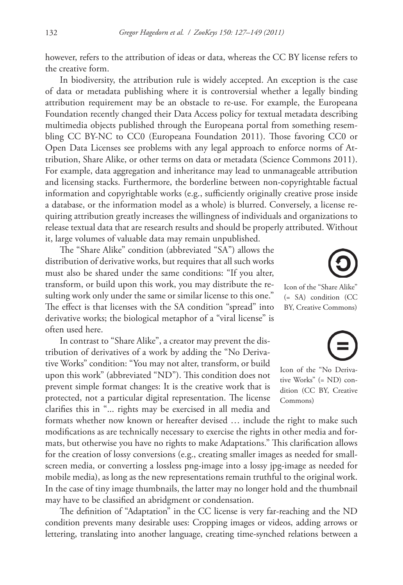however, refers to the attribution of ideas or data, whereas the CC BY license refers to the creative form.

In biodiversity, the attribution rule is widely accepted. An exception is the case of data or metadata publishing where it is controversial whether a legally binding attribution requirement may be an obstacle to re-use. For example, the Europeana Foundation recently changed their Data Access policy for textual metadata describing multimedia objects published through the Europeana portal from something resembling CC BY-NC to CC0 (Europeana Foundation 2011). Those favoring CC0 or Open Data Licenses see problems with any legal approach to enforce norms of Attribution, Share Alike, or other terms on data or metadata (Science Commons 2011). For example, data aggregation and inheritance may lead to unmanageable attribution and licensing stacks. Furthermore, the borderline between non-copyrightable factual information and copyrightable works (e.g., sufficiently originally creative prose inside a database, or the information model as a whole) is blurred. Conversely, a license requiring attribution greatly increases the willingness of individuals and organizations to release textual data that are research results and should be properly attributed. Without it, large volumes of valuable data may remain unpublished.

The "Share Alike" condition (abbreviated "SA") allows the distribution of derivative works, but requires that all such works must also be shared under the same conditions: "If you alter, transform, or build upon this work, you may distribute the resulting work only under the same or similar license to this one." The effect is that licenses with the SA condition "spread" into derivative works; the biological metaphor of a "viral license" is often used here.

In contrast to "Share Alike", a creator may prevent the distribution of derivatives of a work by adding the "No Derivative Works" condition: "You may not alter, transform, or build upon this work" (abbreviated "ND"). This condition does not prevent simple format changes: It is the creative work that is protected, not a particular digital representation. The license clarifies this in "... rights may be exercised in all media and

formats whether now known or hereafter devised … include the right to make such modifications as are technically necessary to exercise the rights in other media and formats, but otherwise you have no rights to make Adaptations." This clarification allows for the creation of lossy conversions (e.g., creating smaller images as needed for smallscreen media, or converting a lossless png-image into a lossy jpg-image as needed for mobile media), as long as the new representations remain truthful to the original work. In the case of tiny image thumbnails, the latter may no longer hold and the thumbnail may have to be classified an abridgment or condensation.

The definition of "Adaptation" in the CC license is very far-reaching and the ND condition prevents many desirable uses: Cropping images or videos, adding arrows or lettering, translating into another language, creating time-synched relations between a

Icon of the "Share Alike" (= SA) condition (CC BY, Creative Commons)

Icon of the "No Derivative Works" (= ND) condition (CC BY, Creative Commons)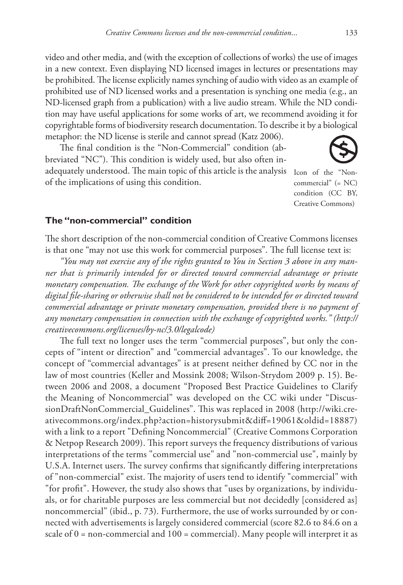video and other media, and (with the exception of collections of works) the use of images in a new context. Even displaying ND licensed images in lectures or presentations may be prohibited. The license explicitly names synching of audio with video as an example of prohibited use of ND licensed works and a presentation is synching one media (e.g., an ND-licensed graph from a publication) with a live audio stream. While the ND condition may have useful applications for some works of art, we recommend avoiding it for copyrightable forms of biodiversity research documentation. To describe it by a biological metaphor: the ND license is sterile and cannot spread (Katz 2006).

The final condition is the "Non-Commercial" condition (abbreviated "NC"). This condition is widely used, but also often inadequately understood. The main topic of this article is the analysis of the implications of using this condition.

Icon of the "Non-

commercial" (= NC) condition (CC BY, Creative Commons)

# **The "non-commercial" condition**

The short description of the non-commercial condition of Creative Commons licenses is that one "may not use this work for commercial purposes". The full license text is:

*"You may not exercise any of the rights granted to You in Section 3 above in any manner that is primarily intended for or directed toward commercial advantage or private monetary compensation. The exchange of the Work for other copyrighted works by means of digital file-sharing or otherwise shall not be considered to be intended for or directed toward commercial advantage or private monetary compensation, provided there is no payment of any monetary compensation in connection with the exchange of copyrighted works." ([http://](http://creativecommons.org/licenses/by-nc/3.0/legalcode) [creativecommons.org/licenses/by-nc/3.0/legalcode\)](http://creativecommons.org/licenses/by-nc/3.0/legalcode)*

The full text no longer uses the term "commercial purposes", but only the concepts of "intent or direction" and "commercial advantages". To our knowledge, the concept of "commercial advantages" is at present neither defined by CC nor in the law of most countries (Keller and Mossink 2008; Wilson-Strydom 2009 p. 15). Between 2006 and 2008, a document "Proposed Best Practice Guidelines to Clarify the Meaning of Noncommercial" was developed on the CC wiki under "DiscussionDraftNonCommercial\_Guidelines". This was replaced in 2008 ([http://wiki.cre](http://wiki.creativecommons.org/index.php?action=historysubmit&diff=19061&oldid=18887)[ativecommons.org/index.php?action=historysubmit&diff=19061&oldid=18887\)](http://wiki.creativecommons.org/index.php?action=historysubmit&diff=19061&oldid=18887) with a link to a report "Defining Noncommercial" (Creative Commons Corporation & Netpop Research 2009). This report surveys the frequency distributions of various interpretations of the terms "commercial use" and "non-commercial use", mainly by U.S.A. Internet users. The survey confirms that significantly differing interpretations of "non-commercial" exist. The majority of users tend to identify "commercial" with "for profit". However, the study also shows that "uses by organizations, by individuals, or for charitable purposes are less commercial but not decidedly [considered as] noncommercial" (ibid., p. 73). Furthermore, the use of works surrounded by or connected with advertisements is largely considered commercial (score 82.6 to 84.6 on a scale of  $0 =$  non-commercial and  $100 =$  commercial). Many people will interpret it as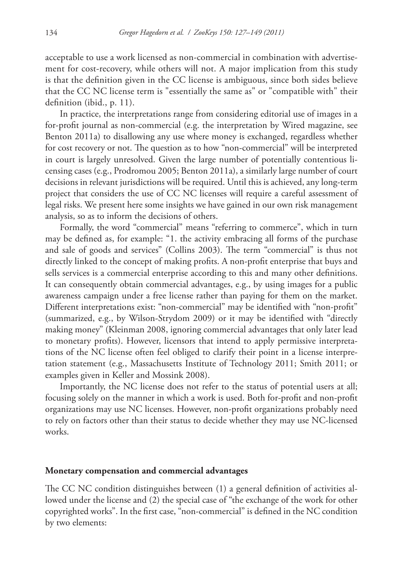acceptable to use a work licensed as non-commercial in combination with advertisement for cost-recovery, while others will not. A major implication from this study is that the definition given in the CC license is ambiguous, since both sides believe that the CC NC license term is "essentially the same as" or "compatible with" their definition (ibid., p. 11).

In practice, the interpretations range from considering editorial use of images in a for-profit journal as non-commercial (e.g. the interpretation by Wired magazine, see Benton 2011a) to disallowing any use where money is exchanged, regardless whether for cost recovery or not. The question as to how "non-commercial" will be interpreted in court is largely unresolved. Given the large number of potentially contentious licensing cases (e.g., Prodromou 2005; Benton 2011a), a similarly large number of court decisions in relevant jurisdictions will be required. Until this is achieved, any long-term project that considers the use of CC NC licenses will require a careful assessment of legal risks. We present here some insights we have gained in our own risk management analysis, so as to inform the decisions of others.

Formally, the word "commercial" means "referring to commerce", which in turn may be defined as, for example: "1. the activity embracing all forms of the purchase and sale of goods and services" (Collins 2003). The term "commercial" is thus not directly linked to the concept of making profits. A non-profit enterprise that buys and sells services is a commercial enterprise according to this and many other definitions. It can consequently obtain commercial advantages, e.g., by using images for a public awareness campaign under a free license rather than paying for them on the market. Different interpretations exist: "non-commercial" may be identified with "non-profit" (summarized, e.g., by Wilson-Strydom 2009) or it may be identified with "directly making money" (Kleinman 2008, ignoring commercial advantages that only later lead to monetary profits). However, licensors that intend to apply permissive interpretations of the NC license often feel obliged to clarify their point in a license interpretation statement (e.g., Massachusetts Institute of Technology 2011; Smith 2011; or examples given in Keller and Mossink 2008).

Importantly, the NC license does not refer to the status of potential users at all; focusing solely on the manner in which a work is used. Both for-profit and non-profit organizations may use NC licenses. However, non-profit organizations probably need to rely on factors other than their status to decide whether they may use NC-licensed works.

#### **Monetary compensation and commercial advantages**

The CC NC condition distinguishes between (1) a general definition of activities allowed under the license and (2) the special case of "the exchange of the work for other copyrighted works". In the first case, "non-commercial" is defined in the NC condition by two elements: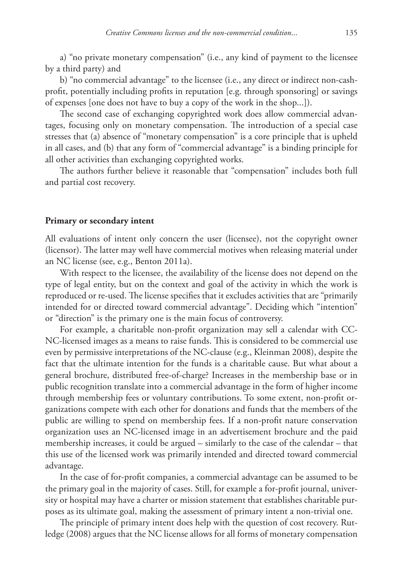a) "no private monetary compensation" (i.e., any kind of payment to the licensee by a third party) and

b) "no commercial advantage" to the licensee (i.e., any direct or indirect non-cashprofit, potentially including profits in reputation [e.g. through sponsoring] or savings of expenses [one does not have to buy a copy of the work in the shop...]).

The second case of exchanging copyrighted work does allow commercial advantages, focusing only on monetary compensation. The introduction of a special case stresses that (a) absence of "monetary compensation" is a core principle that is upheld in all cases, and (b) that any form of "commercial advantage" is a binding principle for all other activities than exchanging copyrighted works.

The authors further believe it reasonable that "compensation" includes both full and partial cost recovery.

#### **Primary or secondary intent**

All evaluations of intent only concern the user (licensee), not the copyright owner (licensor). The latter may well have commercial motives when releasing material under an NC license (see, e.g., Benton 2011a).

With respect to the licensee, the availability of the license does not depend on the type of legal entity, but on the context and goal of the activity in which the work is reproduced or re-used. The license specifies that it excludes activities that are "primarily intended for or directed toward commercial advantage". Deciding which "intention" or "direction" is the primary one is the main focus of controversy.

For example, a charitable non-profit organization may sell a calendar with CC-NC-licensed images as a means to raise funds. This is considered to be commercial use even by permissive interpretations of the NC-clause (e.g., Kleinman 2008), despite the fact that the ultimate intention for the funds is a charitable cause. But what about a general brochure, distributed free-of-charge? Increases in the membership base or in public recognition translate into a commercial advantage in the form of higher income through membership fees or voluntary contributions. To some extent, non-profit organizations compete with each other for donations and funds that the members of the public are willing to spend on membership fees. If a non-profit nature conservation organization uses an NC-licensed image in an advertisement brochure and the paid membership increases, it could be argued – similarly to the case of the calendar – that this use of the licensed work was primarily intended and directed toward commercial advantage.

In the case of for-profit companies, a commercial advantage can be assumed to be the primary goal in the majority of cases. Still, for example a for-profit journal, university or hospital may have a charter or mission statement that establishes charitable purposes as its ultimate goal, making the assessment of primary intent a non-trivial one.

The principle of primary intent does help with the question of cost recovery. Rutledge (2008) argues that the NC license allows for all forms of monetary compensation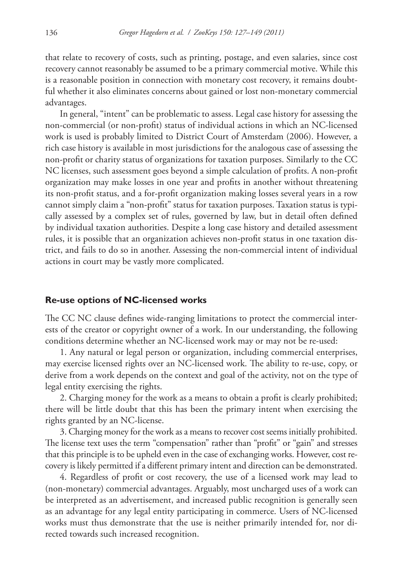that relate to recovery of costs, such as printing, postage, and even salaries, since cost recovery cannot reasonably be assumed to be a primary commercial motive. While this is a reasonable position in connection with monetary cost recovery, it remains doubtful whether it also eliminates concerns about gained or lost non-monetary commercial advantages.

In general, "intent" can be problematic to assess. Legal case history for assessing the non-commercial (or non-profit) status of individual actions in which an NC-licensed work is used is probably limited to District Court of Amsterdam (2006). However, a rich case history is available in most jurisdictions for the analogous case of assessing the non-profit or charity status of organizations for taxation purposes. Similarly to the CC NC licenses, such assessment goes beyond a simple calculation of profits. A non-profit organization may make losses in one year and profits in another without threatening its non-profit status, and a for-profit organization making losses several years in a row cannot simply claim a "non-profit" status for taxation purposes. Taxation status is typically assessed by a complex set of rules, governed by law, but in detail often defined by individual taxation authorities. Despite a long case history and detailed assessment rules, it is possible that an organization achieves non-profit status in one taxation district, and fails to do so in another. Assessing the non-commercial intent of individual actions in court may be vastly more complicated.

## **Re-use options of NC-licensed works**

The CC NC clause defines wide-ranging limitations to protect the commercial interests of the creator or copyright owner of a work. In our understanding, the following conditions determine whether an NC-licensed work may or may not be re-used:

1. Any natural or legal person or organization, including commercial enterprises, may exercise licensed rights over an NC-licensed work. The ability to re-use, copy, or derive from a work depends on the context and goal of the activity, not on the type of legal entity exercising the rights.

2. Charging money for the work as a means to obtain a profit is clearly prohibited; there will be little doubt that this has been the primary intent when exercising the rights granted by an NC-license.

3. Charging money for the work as a means to recover cost seems initially prohibited. The license text uses the term "compensation" rather than "profit" or "gain" and stresses that this principle is to be upheld even in the case of exchanging works. However, cost recovery is likely permitted if a different primary intent and direction can be demonstrated.

4. Regardless of profit or cost recovery, the use of a licensed work may lead to (non-monetary) commercial advantages. Arguably, most uncharged uses of a work can be interpreted as an advertisement, and increased public recognition is generally seen as an advantage for any legal entity participating in commerce. Users of NC-licensed works must thus demonstrate that the use is neither primarily intended for, nor directed towards such increased recognition.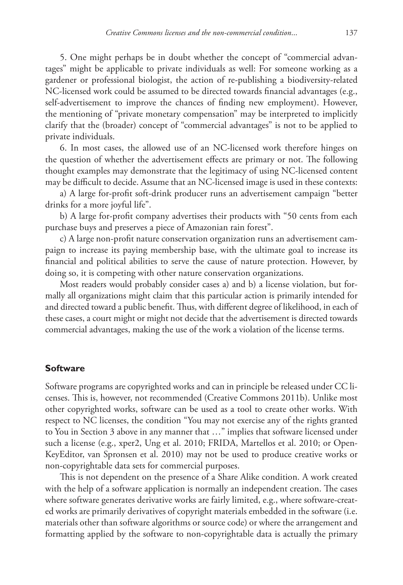5. One might perhaps be in doubt whether the concept of "commercial advantages" might be applicable to private individuals as well: For someone working as a gardener or professional biologist, the action of re-publishing a biodiversity-related NC-licensed work could be assumed to be directed towards financial advantages (e.g., self-advertisement to improve the chances of finding new employment). However, the mentioning of "private monetary compensation" may be interpreted to implicitly clarify that the (broader) concept of "commercial advantages" is not to be applied to private individuals.

6. In most cases, the allowed use of an NC-licensed work therefore hinges on the question of whether the advertisement effects are primary or not. The following thought examples may demonstrate that the legitimacy of using NC-licensed content may be difficult to decide. Assume that an NC-licensed image is used in these contexts:

a) A large for-profit soft-drink producer runs an advertisement campaign "better drinks for a more joyful life".

b) A large for-profit company advertises their products with "50 cents from each purchase buys and preserves a piece of Amazonian rain forest".

c) A large non-profit nature conservation organization runs an advertisement campaign to increase its paying membership base, with the ultimate goal to increase its financial and political abilities to serve the cause of nature protection. However, by doing so, it is competing with other nature conservation organizations.

Most readers would probably consider cases a) and b) a license violation, but formally all organizations might claim that this particular action is primarily intended for and directed toward a public benefit. Thus, with different degree of likelihood, in each of these cases, a court might or might not decide that the advertisement is directed towards commercial advantages, making the use of the work a violation of the license terms.

# **Software**

Software programs are copyrighted works and can in principle be released under CC licenses. This is, however, not recommended (Creative Commons 2011b). Unlike most other copyrighted works, software can be used as a tool to create other works. With respect to NC licenses, the condition "You may not exercise any of the rights granted to You in Section 3 above in any manner that …" implies that software licensed under such a license (e.g., xper2, Ung et al. 2010; FRIDA, Martellos et al. 2010; or Open-KeyEditor, van Spronsen et al. 2010) may not be used to produce creative works or non-copyrightable data sets for commercial purposes.

This is not dependent on the presence of a Share Alike condition. A work created with the help of a software application is normally an independent creation. The cases where software generates derivative works are fairly limited, e.g., where software-created works are primarily derivatives of copyright materials embedded in the software (i.e. materials other than software algorithms or source code) or where the arrangement and formatting applied by the software to non-copyrightable data is actually the primary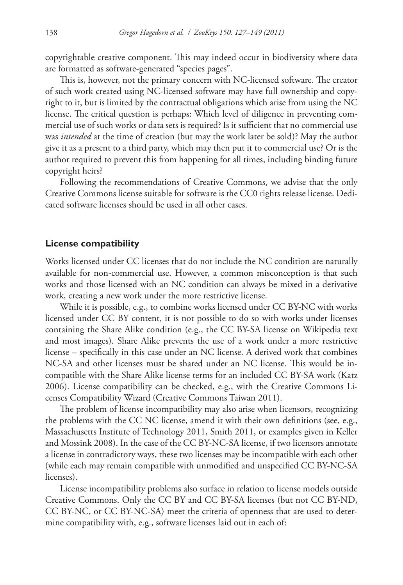copyrightable creative component. This may indeed occur in biodiversity where data are formatted as software-generated "species pages".

This is, however, not the primary concern with NC-licensed software. The creator of such work created using NC-licensed software may have full ownership and copyright to it, but is limited by the contractual obligations which arise from using the NC license. The critical question is perhaps: Which level of diligence in preventing commercial use of such works or data sets is required? Is it sufficient that no commercial use was *intended* at the time of creation (but may the work later be sold)? May the author give it as a present to a third party, which may then put it to commercial use? Or is the author required to prevent this from happening for all times, including binding future copyright heirs?

Following the recommendations of Creative Commons, we advise that the only Creative Commons license suitable for software is the CC0 rights release license. Dedicated software licenses should be used in all other cases.

# **License compatibility**

Works licensed under CC licenses that do not include the NC condition are naturally available for non-commercial use. However, a common misconception is that such works and those licensed with an NC condition can always be mixed in a derivative work, creating a new work under the more restrictive license.

While it is possible, e.g., to combine works licensed under CC BY-NC with works licensed under CC BY content, it is not possible to do so with works under licenses containing the Share Alike condition (e.g., the CC BY-SA license on Wikipedia text and most images). Share Alike prevents the use of a work under a more restrictive license – specifically in this case under an NC license. A derived work that combines NC-SA and other licenses must be shared under an NC license. This would be incompatible with the Share Alike license terms for an included CC BY-SA work (Katz 2006). License compatibility can be checked, e.g., with the Creative Commons Licenses Compatibility Wizard (Creative Commons Taiwan 2011).

The problem of license incompatibility may also arise when licensors, recognizing the problems with the CC NC license, amend it with their own definitions (see, e.g., Massachusetts Institute of Technology 2011, Smith 2011, or examples given in Keller and Mossink 2008). In the case of the CC BY-NC-SA license, if two licensors annotate a license in contradictory ways, these two licenses may be incompatible with each other (while each may remain compatible with unmodified and unspecified CC BY-NC-SA licenses).

License incompatibility problems also surface in relation to license models outside Creative Commons. Only the CC BY and CC BY-SA licenses (but not CC BY-ND, CC BY-NC, or CC BY-NC-SA) meet the criteria of openness that are used to determine compatibility with, e.g., software licenses laid out in each of: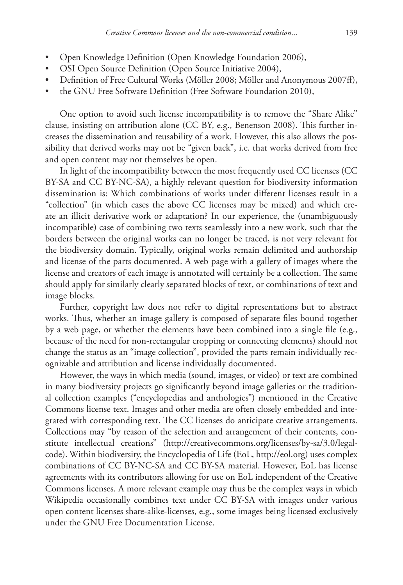- Open Knowledge Definition (Open Knowledge Foundation 2006),
- OSI Open Source Definition (Open Source Initiative 2004),
- Definition of Free Cultural Works (Möller 2008; Möller and Anonymous 2007ff),
- the GNU Free Software Definition (Free Software Foundation 2010),

One option to avoid such license incompatibility is to remove the "Share Alike" clause, insisting on attribution alone (CC BY, e.g., Benenson 2008). This further increases the dissemination and reusability of a work. However, this also allows the possibility that derived works may not be "given back", i.e. that works derived from free and open content may not themselves be open.

In light of the incompatibility between the most frequently used CC licenses (CC BY-SA and CC BY-NC-SA), a highly relevant question for biodiversity information dissemination is: Which combinations of works under different licenses result in a "collection" (in which cases the above CC licenses may be mixed) and which create an illicit derivative work or adaptation? In our experience, the (unambiguously incompatible) case of combining two texts seamlessly into a new work, such that the borders between the original works can no longer be traced, is not very relevant for the biodiversity domain. Typically, original works remain delimited and authorship and license of the parts documented. A web page with a gallery of images where the license and creators of each image is annotated will certainly be a collection. The same should apply for similarly clearly separated blocks of text, or combinations of text and image blocks.

Further, copyright law does not refer to digital representations but to abstract works. Thus, whether an image gallery is composed of separate files bound together by a web page, or whether the elements have been combined into a single file (e.g., because of the need for non-rectangular cropping or connecting elements) should not change the status as an "image collection", provided the parts remain individually recognizable and attribution and license individually documented.

However, the ways in which media (sound, images, or video) or text are combined in many biodiversity projects go significantly beyond image galleries or the traditional collection examples ("encyclopedias and anthologies") mentioned in the Creative Commons license text. Images and other media are often closely embedded and integrated with corresponding text. The CC licenses do anticipate creative arrangements. Collections may "by reason of the selection and arrangement of their contents, constitute intellectual creations" ([http://creativecommons.org/licenses/by-sa/3.0/legal](http://creativecommons.org/licenses/by-sa/3.0/legalcode)[code](http://creativecommons.org/licenses/by-sa/3.0/legalcode)). Within biodiversity, the Encyclopedia of Life (EoL,<http://eol.org>) uses complex combinations of CC BY-NC-SA and CC BY-SA material. However, EoL has license agreements with its contributors allowing for use on EoL independent of the Creative Commons licenses. A more relevant example may thus be the complex ways in which Wikipedia occasionally combines text under CC BY-SA with images under various open content licenses share-alike-licenses, e.g., some images being licensed exclusively under the GNU Free Documentation License.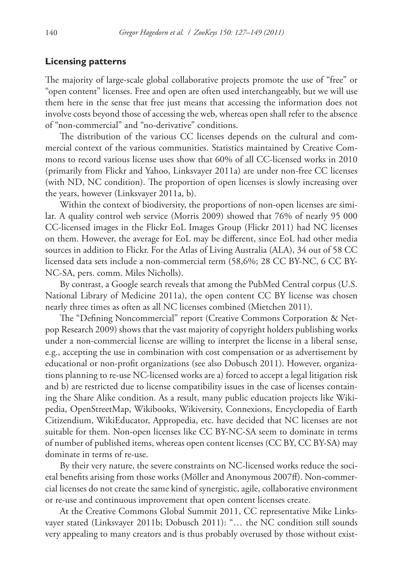# **Licensing patterns**

The majority of large-scale global collaborative projects promote the use of "free" or "open content" licenses. Free and open are often used interchangeably, but we will use them here in the sense that free just means that accessing the information does not involve costs beyond those of accessing the web, whereas open shall refer to the absence of "non-commercial" and "no-derivative" conditions.

The distribution of the various CC licenses depends on the cultural and commercial context of the various communities. Statistics maintained by Creative Commons to record various license uses show that 60% of all CC-licensed works in 2010 (primarily from Flickr and Yahoo, Linksvayer 2011a) are under non-free CC licenses (with ND, NC condition). The proportion of open licenses is slowly increasing over the years, however (Linksvayer 2011a, b).

Within the context of biodiversity, the proportions of non-open licenses are similar. A quality control web service (Morris 2009) showed that 76% of nearly 95 000 CC-licensed images in the Flickr EoL Images Group (Flickr 2011) had NC licenses on them. However, the average for EoL may be different, since EoL had other media sources in addition to Flickr. For the Atlas of Living Australia (ALA), 34 out of 58 CC licensed data sets include a non-commercial term (58,6%; 28 CC BY-NC, 6 CC BY-NC-SA, pers. comm. Miles Nicholls).

By contrast, a Google search reveals that among the PubMed Central corpus (U.S. National Library of Medicine 2011a), the open content CC BY license was chosen nearly three times as often as all NC licenses combined (Mietchen 2011).

The "Defining Noncommercial" report (Creative Commons Corporation & Netpop Research 2009) shows that the vast majority of copyright holders publishing works under a non-commercial license are willing to interpret the license in a liberal sense, e.g., accepting the use in combination with cost compensation or as advertisement by educational or non-profit organizations (see also Dobusch 2011). However, organizations planning to re-use NC-licensed works are a) forced to accept a legal litigation risk and b) are restricted due to license compatibility issues in the case of licenses containing the Share Alike condition. As a result, many public education projects like Wikipedia, OpenStreetMap, Wikibooks, Wikiversity, Connexions, Encyclopedia of Earth Citizendium, WikiEducator, Appropedia, etc. have decided that NC licenses are not suitable for them. Non-open licenses like CC BY-NC-SA seem to dominate in terms of number of published items, whereas open content licenses (CC BY, CC BY-SA) may dominate in terms of re-use.

By their very nature, the severe constraints on NC-licensed works reduce the societal benefits arising from those works (Möller and Anonymous 2007ff). Non-commercial licenses do not create the same kind of synergistic, agile, collaborative environment or re-use and continuous improvement that open content licenses create.

At the Creative Commons Global Summit 2011, CC representative Mike Linksvayer stated (Linksvayer 2011b; Dobusch 2011): "… the NC condition still sounds very appealing to many creators and is thus probably overused by those without exist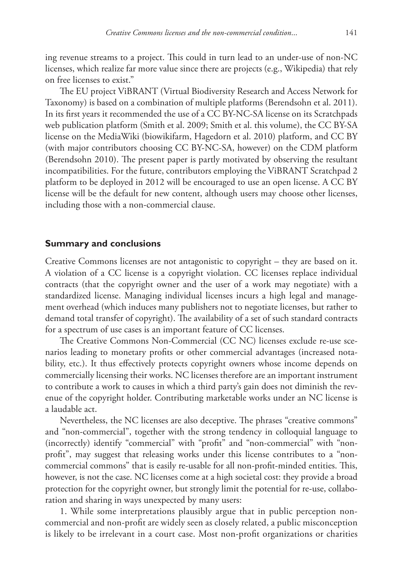ing revenue streams to a project. This could in turn lead to an under-use of non-NC licenses, which realize far more value since there are projects (e.g., Wikipedia) that rely on free licenses to exist."

The EU project ViBRANT (Virtual Biodiversity Research and Access Network for Taxonomy) is based on a combination of multiple platforms (Berendsohn et al. 2011). In its first years it recommended the use of a CC BY-NC-SA license on its Scratchpads web publication platform (Smith et al. 2009; Smith et al. this volume), the CC BY-SA license on the MediaWiki (biowikifarm, Hagedorn et al. 2010) platform, and CC BY (with major contributors choosing CC BY-NC-SA, however) on the CDM platform (Berendsohn 2010). The present paper is partly motivated by observing the resultant incompatibilities. For the future, contributors employing the ViBRANT Scratchpad 2 platform to be deployed in 2012 will be encouraged to use an open license. A CC BY license will be the default for new content, although users may choose other licenses, including those with a non-commercial clause.

## **Summary and conclusions**

Creative Commons licenses are not antagonistic to copyright – they are based on it. A violation of a CC license is a copyright violation. CC licenses replace individual contracts (that the copyright owner and the user of a work may negotiate) with a standardized license. Managing individual licenses incurs a high legal and management overhead (which induces many publishers not to negotiate licenses, but rather to demand total transfer of copyright). The availability of a set of such standard contracts for a spectrum of use cases is an important feature of CC licenses.

The Creative Commons Non-Commercial (CC NC) licenses exclude re-use scenarios leading to monetary profits or other commercial advantages (increased notability, etc.). It thus effectively protects copyright owners whose income depends on commercially licensing their works. NC licenses therefore are an important instrument to contribute a work to causes in which a third party's gain does not diminish the revenue of the copyright holder. Contributing marketable works under an NC license is a laudable act.

Nevertheless, the NC licenses are also deceptive. The phrases "creative commons" and "non-commercial", together with the strong tendency in colloquial language to (incorrectly) identify "commercial" with "profit" and "non-commercial" with "nonprofit", may suggest that releasing works under this license contributes to a "noncommercial commons" that is easily re-usable for all non-profit-minded entities. This, however, is not the case. NC licenses come at a high societal cost: they provide a broad protection for the copyright owner, but strongly limit the potential for re-use, collaboration and sharing in ways unexpected by many users:

1. While some interpretations plausibly argue that in public perception noncommercial and non-profit are widely seen as closely related, a public misconception is likely to be irrelevant in a court case. Most non-profit organizations or charities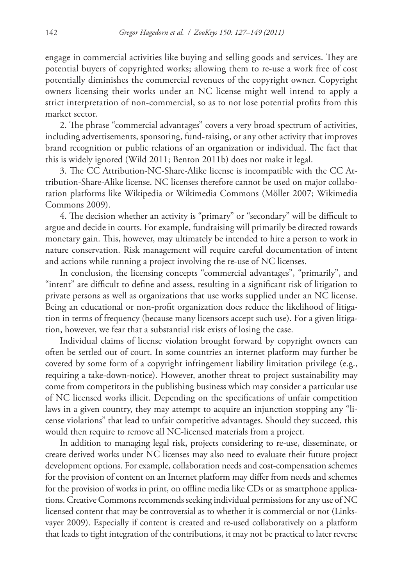engage in commercial activities like buying and selling goods and services. They are potential buyers of copyrighted works; allowing them to re-use a work free of cost potentially diminishes the commercial revenues of the copyright owner. Copyright owners licensing their works under an NC license might well intend to apply a strict interpretation of non-commercial, so as to not lose potential profits from this market sector.

2. The phrase "commercial advantages" covers a very broad spectrum of activities, including advertisements, sponsoring, fund-raising, or any other activity that improves brand recognition or public relations of an organization or individual. The fact that this is widely ignored (Wild 2011; Benton 2011b) does not make it legal.

3. The CC Attribution-NC-Share-Alike license is incompatible with the CC Attribution-Share-Alike license. NC licenses therefore cannot be used on major collaboration platforms like Wikipedia or Wikimedia Commons (Möller 2007; Wikimedia Commons 2009).

4. The decision whether an activity is "primary" or "secondary" will be difficult to argue and decide in courts. For example, fundraising will primarily be directed towards monetary gain. This, however, may ultimately be intended to hire a person to work in nature conservation. Risk management will require careful documentation of intent and actions while running a project involving the re-use of NC licenses.

In conclusion, the licensing concepts "commercial advantages", "primarily", and "intent" are difficult to define and assess, resulting in a significant risk of litigation to private persons as well as organizations that use works supplied under an NC license. Being an educational or non-profit organization does reduce the likelihood of litigation in terms of frequency (because many licensors accept such use). For a given litigation, however, we fear that a substantial risk exists of losing the case.

Individual claims of license violation brought forward by copyright owners can often be settled out of court. In some countries an internet platform may further be covered by some form of a copyright infringement liability limitation privilege (e.g., requiring a take-down-notice). However, another threat to project sustainability may come from competitors in the publishing business which may consider a particular use of NC licensed works illicit. Depending on the specifications of unfair competition laws in a given country, they may attempt to acquire an injunction stopping any "license violations" that lead to unfair competitive advantages. Should they succeed, this would then require to remove all NC-licensed materials from a project.

In addition to managing legal risk, projects considering to re-use, disseminate, or create derived works under NC licenses may also need to evaluate their future project development options. For example, collaboration needs and cost-compensation schemes for the provision of content on an Internet platform may differ from needs and schemes for the provision of works in print, on offline media like CDs or as smartphone applications. Creative Commons recommends seeking individual permissions for any use of NC licensed content that may be controversial as to whether it is commercial or not (Linksvayer 2009). Especially if content is created and re-used collaboratively on a platform that leads to tight integration of the contributions, it may not be practical to later reverse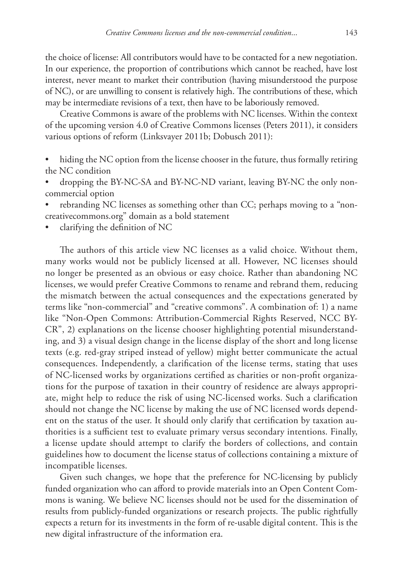the choice of license: All contributors would have to be contacted for a new negotiation. In our experience, the proportion of contributions which cannot be reached, have lost interest, never meant to market their contribution (having misunderstood the purpose of NC), or are unwilling to consent is relatively high. The contributions of these, which may be intermediate revisions of a text, then have to be laboriously removed.

Creative Commons is aware of the problems with NC licenses. Within the context of the upcoming version 4.0 of Creative Commons licenses (Peters 2011), it considers various options of reform (Linksvayer 2011b; Dobusch 2011):

hiding the NC option from the license chooser in the future, thus formally retiring the NC condition

dropping the BY-NC-SA and BY-NC-ND variant, leaving BY-NC the only noncommercial option

rebranding NC licenses as something other than CC; perhaps moving to a ["non](non-creativecommons.org)[creativecommons.org"](non-creativecommons.org) domain as a bold statement

clarifying the definition of NC

The authors of this article view NC licenses as a valid choice. Without them, many works would not be publicly licensed at all. However, NC licenses should no longer be presented as an obvious or easy choice. Rather than abandoning NC licenses, we would prefer Creative Commons to rename and rebrand them, reducing the mismatch between the actual consequences and the expectations generated by terms like "non-commercial" and "creative commons". A combination of: 1) a name like "Non-Open Commons: Attribution-Commercial Rights Reserved, NCC BY-CR", 2) explanations on the license chooser highlighting potential misunderstanding, and 3) a visual design change in the license display of the short and long license texts (e.g. red-gray striped instead of yellow) might better communicate the actual consequences. Independently, a clarification of the license terms, stating that uses of NC-licensed works by organizations certified as charities or non-profit organizations for the purpose of taxation in their country of residence are always appropriate, might help to reduce the risk of using NC-licensed works. Such a clarification should not change the NC license by making the use of NC licensed words dependent on the status of the user. It should only clarify that certification by taxation authorities is a sufficient test to evaluate primary versus secondary intentions. Finally, a license update should attempt to clarify the borders of collections, and contain guidelines how to document the license status of collections containing a mixture of incompatible licenses.

Given such changes, we hope that the preference for NC-licensing by publicly funded organization who can afford to provide materials into an Open Content Commons is waning. We believe NC licenses should not be used for the dissemination of results from publicly-funded organizations or research projects. The public rightfully expects a return for its investments in the form of re-usable digital content. This is the new digital infrastructure of the information era.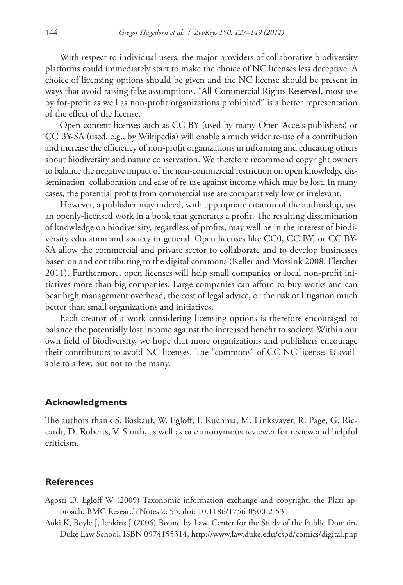With respect to individual users, the major providers of collaborative biodiversity platforms could immediately start to make the choice of NC licenses less deceptive. A choice of licensing options should be given and the NC license should be present in ways that avoid raising false assumptions. "All Commercial Rights Reserved, most use by for-profit as well as non-profit organizations prohibited" is a better representation of the effect of the license.

Open content licenses such as CC BY (used by many Open Access publishers) or CC BY-SA (used, e.g., by Wikipedia) will enable a much wider re-use of a contribution and increase the efficiency of non-profit organizations in informing and educating others about biodiversity and nature conservation. We therefore recommend copyright owners to balance the negative impact of the non-commercial restriction on open knowledge dissemination, collaboration and ease of re-use against income which may be lost. In many cases, the potential profits from commercial use are comparatively low or irrelevant.

However, a publisher may indeed, with appropriate citation of the authorship, use an openly-licensed work in a book that generates a profit. The resulting dissemination of knowledge on biodiversity, regardless of profits, may well be in the interest of biodiversity education and society in general. Open licenses like CC0, CC BY, or CC BY-SA allow the commercial and private sector to collaborate and to develop businesses based on and contributing to the digital commons (Keller and Mossink 2008, Fletcher 2011). Furthermore, open licenses will help small companies or local non-profit initiatives more than big companies. Large companies can afford to buy works and can bear high management overhead, the cost of legal advice, or the risk of litigation much better than small organizations and initiatives.

Each creator of a work considering licensing options is therefore encouraged to balance the potentially lost income against the increased benefit to society. Within our own field of biodiversity, we hope that more organizations and publishers encourage their contributors to avoid NC licenses. The "commons" of CC NC licenses is available to a few, but not to the many.

## **Acknowledgments**

The authors thank S. Baskauf, W. Egloff, I. Kuchma, M. Linksvayer, R. Page, G. Riccardi, D. Roberts, V. Smith, as well as one anonymous reviewer for review and helpful criticism.

# **References**

- Agosti D, Egloff W (2009) Taxonomic information exchange and copyright: the Plazi approach. BMC Research Notes 2: 53. [doi: 10.1186/1756-0500-2-53](http://dx.doi.org/10.1186/1756-0500-2-53)
- Aoki K, Boyle J, Jenkins J (2006) Bound by Law. Center for the Study of the Public Domain, Duke Law School, ISBN 0974155314,<http://www.law.duke.edu/cspd/comics/digital.php>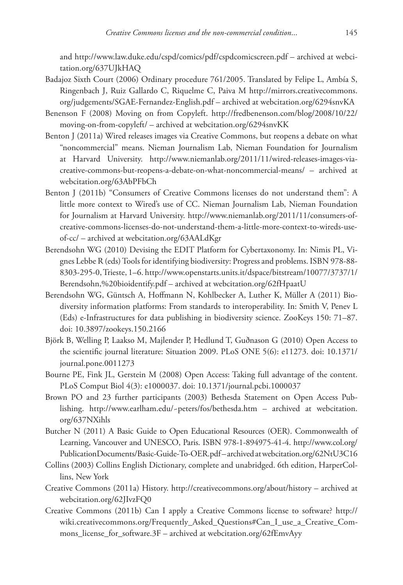and [http://www.law.duke.edu/cspd/comics/pdf/cspdcomicscreen.pdf](http://www.law.duke.edu/cspd/comics/pdf/csp dcomicscreen.pdf) – archived at [webci](webcitation.org/637UJkHAQ)[tation.org/637UJkHAQ](webcitation.org/637UJkHAQ)

- Badajoz Sixth Court (2006) Ordinary procedure 761/2005. Translated by Felipe L, Ambía S, Ringenbach J, Ruiz Gallardo C, Riquelme C, Paiva M [http://mirrors.creativecommons.](http://mirrors.creativecommons.org/judgements/SGAE-Fernandez-English.pdf) [org/judgements/SGAE-Fernandez-English.pdf](http://mirrors.creativecommons.org/judgements/SGAE-Fernandez-English.pdf) – archived at <webcitation.org/6294snvKA>
- Benenson F (2008) Moving on from Copyleft. [http://fredbenenson.com/blog/2008/10/22/](http://fredbenenson.com/blog/2008/10/22/moving-on-from-copyleft) [moving-on-from-copyleft/](http://fredbenenson.com/blog/2008/10/22/moving-on-from-copyleft) – archived at <webcitation.org/6294snvKK>
- Benton J (2011a) Wired releases images via Creative Commons, but reopens a debate on what "noncommercial" means. Nieman Journalism Lab, Nieman Foundation for Journalism at Harvard University. [http://www.niemanlab.org/2011/11/wired-releases-images-via](http://www.niemanlab.org/2011/11/wired-releases-images-via-creative-commons-but-reopens-a-debate-on-what-noncommercial-means)[creative-commons-but-reopens-a-debate-on-what-noncommercial-means/](http://www.niemanlab.org/2011/11/wired-releases-images-via-creative-commons-but-reopens-a-debate-on-what-noncommercial-means) – archived at <webcitation.org/63AbPFbCh>
- Benton J (2011b) "Consumers of Creative Commons licenses do not understand them": A little more context to Wired's use of CC. Nieman Journalism Lab, Nieman Foundation for Journalism at Harvard University. [http://www.niemanlab.org/2011/11/consumers-of](http://www.niemanlab.org/2011/11/consumers-of-creative-commons-licenses-do-not-understand-them-a-little-more-context-to-wireds-use-of-cc)[creative-commons-licenses-do-not-understand-them-a-little-more-context-to-wireds-use](http://www.niemanlab.org/2011/11/consumers-of-creative-commons-licenses-do-not-understand-them-a-little-more-context-to-wireds-use-of-cc)[of-cc](http://www.niemanlab.org/2011/11/consumers-of-creative-commons-licenses-do-not-understand-them-a-little-more-context-to-wireds-use-of-cc)/ – archived at<webcitation.org/63AALdKgr>
- Berendsohn WG (2010) Devising the EDIT Platform for Cybertaxonomy. In: Nimis PL, Vignes Lebbe R (eds) Tools for identifying biodiversity: Progress and problems. ISBN 978-88- 8303-295-0, Trieste, 1–6. [http://www.openstarts.units.it/dspace/bitstream/10077/3737/1/](http://www.openstarts.units.it/dspace/bitstream/10077/3737/1/Berendsohn,%20bioidentify.pdf) [Berendsohn,%20bioidentify.pdf](http://www.openstarts.units.it/dspace/bitstream/10077/3737/1/Berendsohn,%20bioidentify.pdf) – archived at <webcitation.org/62fHpaatU>
- Berendsohn WG, Güntsch A, Hoffmann N, Kohlbecker A, Luther K, Müller A (2011) Biodiversity information platforms: From standards to interoperability. In: Smith V, Penev L (Eds) e-Infrastructures for data publishing in biodiversity science. ZooKeys 150: 71–87. [doi: 10.3897/zookeys.150.2166](http://dx.doi.org/10.3897/zookeys.150.2166)
- Björk B, Welling P, Laakso M, Majlender P, Hedlund T, Guðnason G (2010) Open Access to the scientific journal literature: Situation 2009. PLoS ONE 5(6): e11273. [doi: 10.1371/](http://dx.doi.org/10.1371/journal.pone.0011273) [journal.pone.0011273](http://dx.doi.org/10.1371/journal.pone.0011273)
- Bourne PE, Fink JL, Gerstein M (2008) Open Access: Taking full advantage of the content. PLoS Comput Biol 4(3): e1000037. [doi: 10.1371/journal.pcbi.1000037](http://dx.doi.org/10.1371/journal.pcbi.1000037)
- Brown PO and 23 further participants (2003) Bethesda Statement on Open Access Publishing. <http://www.earlham.edu/~peters/fos/bethesda.htm>– archived at [webcitation.](webcitation.org/637NXihls) [org/637NXihls](webcitation.org/637NXihls)
- Butcher N (2011) A Basic Guide to Open Educational Resources (OER). Commonwealth of Learning, Vancouver and UNESCO, Paris. ISBN 978-1-894975-41-4. [http://www.col.org/](http://www.col.org/PublicationDocuments/Basic-Guide-To-OER.pdf) [PublicationDocuments/Basic-Guide-To-OER.pdf](http://www.col.org/PublicationDocuments/Basic-Guide-To-OER.pdf) – archived at<webcitation.org/62NtU3C16>
- Collins (2003) Collins English Dictionary, complete and unabridged. 6th edition, HarperCollins, New York
- Creative Commons (2011a) History. <http://creativecommons.org/about/history> archived at <webcitation.org/62JIvzFQ0>
- Creative Commons (2011b) Can I apply a Creative Commons license to software? [http://](http://wiki.creativecommons.org/Frequently_Asked_Questions#Can_I_use_a_Creative_Commons_license_for_software.3F) [wiki.creativecommons.org/Frequently\\_Asked\\_Questions#Can\\_I\\_use\\_a\\_Creative\\_Com](http://wiki.creativecommons.org/Frequently_Asked_Questions#Can_I_use_a_Creative_Commons_license_for_software.3F)[mons\\_license\\_for\\_software.3F](http://wiki.creativecommons.org/Frequently_Asked_Questions#Can_I_use_a_Creative_Commons_license_for_software.3F) – archived at<webcitation.org/62fEmvAyy>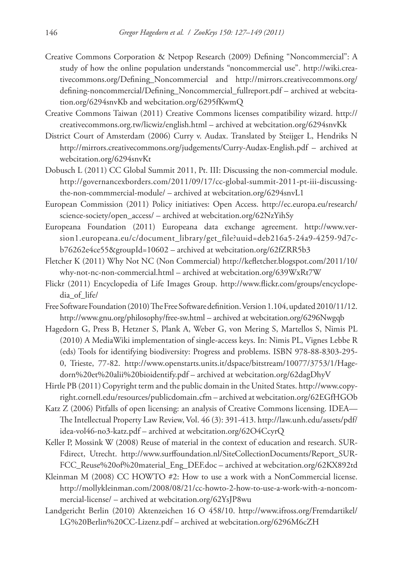- Creative Commons Corporation & Netpop Research (2009) Defining "Noncommercial": A study of how the online population understands "noncommercial use". [http://wiki.crea](http://wiki.creativecommons.org/Defining_Noncommercial)[tivecommons.org/Defining\\_Noncommercial](http://wiki.creativecommons.org/Defining_Noncommercial) and [http://mirrors.creativecommons.org/](http://mirrors.creativecommons.org/defining-noncommercial/Defining_Noncommercial_fullreport.pdf) [defining-noncommercial/Defining\\_Noncommercial\\_fullreport.pdf](http://mirrors.creativecommons.org/defining-noncommercial/Defining_Noncommercial_fullreport.pdf) – archived at [webcita](webcitation.org/6294snvKb and webcitation.org/6295fKwmQ)[tion.org/6294snvKb and webcitation.org/6295fKwmQ](webcitation.org/6294snvKb and webcitation.org/6295fKwmQ)
- Creative Commons Taiwan (2011) Creative Commons licenses compatibility wizard. [http://](http://creativecommons.org.tw/licwiz/english.html) [creativecommons.org.tw/licwiz/english.html](http://creativecommons.org.tw/licwiz/english.html) – archived at <webcitation.org/6294snvKk>
- District Court of Amsterdam (2006) Curry v. Audax. Translated by Steijger L, Hendriks N <http://mirrors.creativecommons.org/judgements/Curry-Audax-English.pdf>– archived at <webcitation.org/6294snvKt>
- Dobusch L (2011) CC Global Summit 2011, Pt. III: Discussing the non-commercial module. [http://governancexborders.com/2011/09/17/cc-global-summit-2011-pt-iii-discussing](http://governancexborders.com/2011/09/17/cc-global-summit-2011-pt-iii-discussing-the-non-commmercial-module)[the-non-commmercial-module/](http://governancexborders.com/2011/09/17/cc-global-summit-2011-pt-iii-discussing-the-non-commmercial-module) – archived at<webcitation.org/6294snvL1>
- European Commission (2011) Policy initiatives: Open Access. [http://ec.europa.eu/research/](http://ec.europa.eu/research/science-society/open_access) [science-society/open\\_access/](http://ec.europa.eu/research/science-society/open_access) – archived at<webcitation.org/62NzYihSy>
- Europeana Foundation (2011) Europeana data exchange agreement. [http://www.ver](http://www.version1.europeana.eu/c/document_library/get_file?uuid=deb216a5-24a9-4259-9d7c-b76262e4ce55&groupId=10602)[sion1.europeana.eu/c/document\\_library/get\\_file?uuid=deb216a5-24a9-4259-9d7c](http://www.version1.europeana.eu/c/document_library/get_file?uuid=deb216a5-24a9-4259-9d7c-b76262e4ce55&groupId=10602)[b76262e4ce55&groupId=10602](http://www.version1.europeana.eu/c/document_library/get_file?uuid=deb216a5-24a9-4259-9d7c-b76262e4ce55&groupId=10602) – archived at<webcitation.org/62fZRR5b3>
- Fletcher K (2011) Why Not NC (Non Commercial) [http://kefletcher.blogspot.com/2011/10/](http://kefletcher.blogspot.com/2011/10/why-not-nc-non-commercial.html) [why-not-nc-non-commercial.html](http://kefletcher.blogspot.com/2011/10/why-not-nc-non-commercial.html) – archived at <webcitation.org/639WxRt7W>
- Flickr (2011) Encyclopedia of Life Images Group. [http://www.flickr.com/groups/encyclope](http://www.flickr.com/groups/encyclopedia_of_life)[dia\\_of\\_life/](http://www.flickr.com/groups/encyclopedia_of_life)
- Free Software Foundation (2010) The Free Software definition. Version 1.104, updated 2010/11/12. <http://www.gnu.org/philosophy/free-sw.html> – archived at <webcitation.org/6296Nwgqb>
- Hagedorn G, Press B, Hetzner S, Plank A, Weber G, von Mering S, Martellos S, Nimis PL (2010) A MediaWiki implementation of single-access keys. In: Nimis PL, Vignes Lebbe R (eds) Tools for identifying biodiversity: Progress and problems. ISBN 978-88-8303-295- 0, Trieste, 77-82. [http://www.openstarts.units.it/dspace/bitstream/10077/3753/1/Hage](http://www.openstarts.units.it/dspace/bitstream/10077/3753/1/Hagedorn%20et%20alii%20bioidentify.pdf)[dorn%20et%20alii%20bioidentify.pdf](http://www.openstarts.units.it/dspace/bitstream/10077/3753/1/Hagedorn%20et%20alii%20bioidentify.pdf) – archived at<webcitation.org/62dagDhyV>
- Hirtle PB (2011) Copyright term and the public domain in the United States. [http://www.copy](http://www.copyright.cornell.edu/resources/publicdomain.cfm)[right.cornell.edu/resources/publicdomain.cfm](http://www.copyright.cornell.edu/resources/publicdomain.cfm) – archived at<webcitation.org/62EGfHGOb>
- Katz Z (2006) Pitfalls of open licensing: an analysis of Creative Commons licensing. IDEA— The Intellectual Property Law Review, Vol. 46 (3): 391-413. [http://law.unh.edu/assets/pdf/](http://law.unh.edu/assets/pdf/idea-vol46-no3-katz.pdf) [idea-vol46-no3-katz.pdf](http://law.unh.edu/assets/pdf/idea-vol46-no3-katz.pdf) – archived at<webcitation.org/62O4CcyrQ>
- Keller P, Mossink W (2008) Reuse of material in the context of education and research. SUR-Fdirect, Utrecht. [http://www.surffoundation.nl/SiteCollectionDocuments/Report\\_SUR-](http://www.surffoundation.nl/SiteCollectionDocuments/Report_SURFCC_Reuse%20of%20material_Eng_DEF.doc)[FCC\\_Reuse%20of%20material\\_Eng\\_DEF.doc](http://www.surffoundation.nl/SiteCollectionDocuments/Report_SURFCC_Reuse%20of%20material_Eng_DEF.doc) – archived at <webcitation.org/62KX892td>
- Kleinman M (2008) CC HOWTO #2: How to use a work with a NonCommercial license. [http://mollykleinman.com/2008/08/21/cc-howto-2-how-to-use-a-work-with-a-noncom](http://mollykleinman.com/2008/08/21/cc-howto-2-how-to-use-a-work-with-a-noncommercial-license)[mercial-license](http://mollykleinman.com/2008/08/21/cc-howto-2-how-to-use-a-work-with-a-noncommercial-license)/ – archived at <webcitation.org/62YsJP8wu>
- Landgericht Berlin (2010) Aktenzeichen 16 O 458/10. [http://www.ifross.org/Fremdartikel/](http://www.ifross.org/Fremdartikel/LG%20Berlin%20CC-Lizenz.pdf) [LG%20Berlin%20CC-Lizenz.pdf](http://www.ifross.org/Fremdartikel/LG%20Berlin%20CC-Lizenz.pdf) – archived at <webcitation.org/6296M6cZH>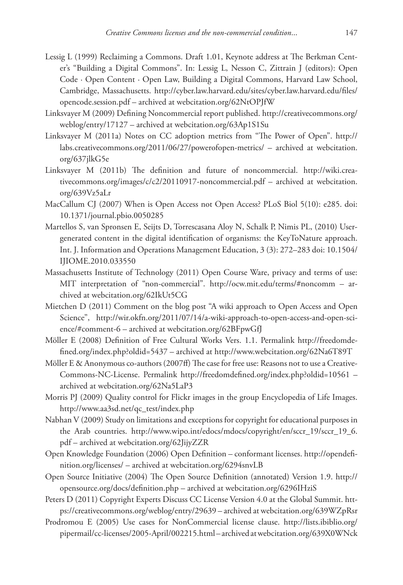- Lessig L (1999) Reclaiming a Commons. Draft 1.01, Keynote address at The Berkman Center's "Building a Digital Commons". In: Lessig L, Nesson C, Zittrain J (editors): Open Code · Open Content · Open Law, Building a Digital Commons, Harvard Law School, Cambridge, Massachusetts. [http://cyber.law.harvard.edu/sites/cyber.law.harvard.edu/files/](http://cyber.law.harvard.edu/sites/cyber.law.harvard.edu/files/opencode.session.pdf) [opencode.session.pdf](http://cyber.law.harvard.edu/sites/cyber.law.harvard.edu/files/opencode.session.pdf) – archived at<webcitation.org/62NtOPJfW>
- Linksvayer M (2009) Defining Noncommercial report published. [http://creativecommons.org/](http://creativecommons.org/weblog/entry/17127) [weblog/entry/17127](http://creativecommons.org/weblog/entry/17127) – archived at <webcitation.org/63Ap1S1Su>
- Linksvayer M (2011a) Notes on CC adoption metrics from "The Power of Open". [http://](http://labs.creativecommons.org/2011/06/27/powerofopen-metrics) [labs.creativecommons.org/2011/06/27/powerofopen-metrics/](http://labs.creativecommons.org/2011/06/27/powerofopen-metrics) – archived at [webcitation.](webcitation.org/637jlkG5e) [org/637jlkG5e](webcitation.org/637jlkG5e)
- Linksvayer M (2011b) The definition and future of noncommercial. [http://wiki.crea](http://wiki.creativecommons.org/images/c/c2/20110917-noncommercial.pdf)[tivecommons.org/images/c/c2/20110917-noncommercial.pdf](http://wiki.creativecommons.org/images/c/c2/20110917-noncommercial.pdf) – archived at [webcitation.](webcitation.org/639Vz5aLr) [org/639Vz5aLr](webcitation.org/639Vz5aLr)
- MacCallum CJ (2007) When is Open Access not Open Access? PLoS Biol 5(10): e285. [doi:](http://dx.doi.org/10.1371/journal.pbio.0050285) [10.1371/journal.pbio.0050285](http://dx.doi.org/10.1371/journal.pbio.0050285)
- Martellos S, van Spronsen E, Seijts D, Torrescasana Aloy N, Schalk P, Nimis PL, (2010) Usergenerated content in the digital identification of organisms: the KeyToNature approach. Int. J. Information and Operations Management Education, 3 (3): 272–283 [doi: 10.1504/](http://dx.doi.org/10.1504/IJIOME.2010.033550) [IJIOME.2010.033550](http://dx.doi.org/10.1504/IJIOME.2010.033550)
- Massachusetts Institute of Technology (2011) Open Course Ware, privacy and terms of use: MIT interpretation of "non-commercial". <http://ocw.mit.edu/terms/#noncomm> – archived at <webcitation.org/62IkUt5CG>
- Mietchen D (2011) Comment on the blog post "A wiki approach to Open Access and Open Science", [http://wir.okfn.org/2011/07/14/a-wiki-approach-to-open-access-and-open-sci](http://wir.okfn.org/2011/07/14/a-wiki-approach-to-open-access-and-open-science/#comment-6)[ence/#comment-6](http://wir.okfn.org/2011/07/14/a-wiki-approach-to-open-access-and-open-science/#comment-6) – archived at<webcitation.org/62BFpwGfJ>
- Möller E (2008) Definition of Free Cultural Works Vers. 1.1. Permalink [http://freedomde](http://freedomdefined.org/index.php?oldid=5437)[fined.org/index.php?oldid=5437](http://freedomdefined.org/index.php?oldid=5437) – archived at<http://www.webcitation.org/62Na6T89T>
- Möller E & Anonymous co-authors (2007ff) The case for free use: Reasons not to use a Creative-Commons-NC-License. Permalink <http://freedomdefined.org/index.php?oldid=10561> – archived at <webcitation.org/62Na5LaP3>
- Morris PJ (2009) Quality control for Flickr images in the group Encyclopedia of Life Images. [http://www.aa3sd.net/qc\\_test/index.php](http://www.aa3sd.net/qc_test/index.php)
- Nabhan V (2009) Study on limitations and exceptions for copyright for educational purposes in the Arab countries. [http://www.wipo.int/edocs/mdocs/copyright/en/sccr\\_19/sccr\\_19\\_6.](http://www.wipo.int/edocs/mdocs/copyright/en/sccr_19/sccr_19_6.pdf) [pdf](http://www.wipo.int/edocs/mdocs/copyright/en/sccr_19/sccr_19_6.pdf) – archived at <webcitation.org/62JijyZZR>
- Open Knowledge Foundation (2006) Open Definition conformant licenses. [http://opendefi](http://opendefinition.org/licenses)[nition.org/licenses](http://opendefinition.org/licenses)/ – archived at <webcitation.org/6294snvLB>
- Open Source Initiative (2004) The Open Source Definition (annotated) Version 1.9. [http://](http://opensource.org/docs/definition.php) [opensource.org/docs/definition.php](http://opensource.org/docs/definition.php) – archived at <webcitation.org/6296IHziS>
- Peters D (2011) Copyright Experts Discuss CC License Version 4.0 at the Global Summit. [htt](https://creativecommons.org/weblog/entry/29639)[ps://creativecommons.org/weblog/entry/29639](https://creativecommons.org/weblog/entry/29639) – archived at<webcitation.org/639WZpRsr>
- Prodromou E (2005) Use cases for NonCommercial license clause. [http://lists.ibiblio.org/](http://lists.ibiblio.org/pipermail/cc-licenses/2005-April/002215.html) [pipermail/cc-licenses/2005-April/002215.html](http://lists.ibiblio.org/pipermail/cc-licenses/2005-April/002215.html) – archived at<webcitation.org/639X0WNck>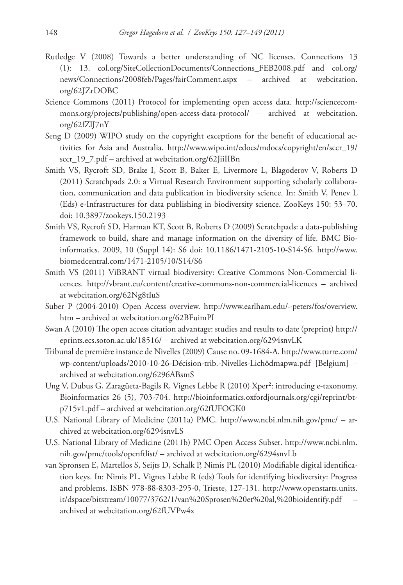- Rutledge V (2008) Towards a better understanding of NC licenses. Connections 13 (1): 13. [col.org/SiteCollectionDocuments/Connections\\_FEB2008.pdf](col.org/SiteCollectionDocuments/Connections_FEB2008.pdf) and [col.org/](col.org/news/Connections/2008feb/Pages/fairComment.aspx) [news/Connections/2008feb/Pages/fairComment.aspx](col.org/news/Connections/2008feb/Pages/fairComment.aspx) – archived at [webcitation.](webcitation.org/62JZrDOBC) [org/62JZrDOBC](webcitation.org/62JZrDOBC)
- Science Commons (2011) Protocol for implementing open access data. [http://sciencecom](http://sciencecommons.org/projects/publishing/open-access-data-protocol)[mons.org/projects/publishing/open-access-data-protocol](http://sciencecommons.org/projects/publishing/open-access-data-protocol)/ – archived at [webcitation.](webcitation.org/62fZlJ7nY) [org/62fZlJ7nY](webcitation.org/62fZlJ7nY)
- Seng D (2009) WIPO study on the copyright exceptions for the benefit of educational activities for Asia and Australia. [http://www.wipo.int/edocs/mdocs/copyright/en/sccr\\_19/](http://www.wipo.int/edocs/mdocs/copyright/en/sccr_19/sccr_19_7.pdf) [sccr\\_19\\_7.pdf](http://www.wipo.int/edocs/mdocs/copyright/en/sccr_19/sccr_19_7.pdf) – archived at<webcitation.org/62JiiIIBn>
- Smith VS, Rycroft SD, Brake I, Scott B, Baker E, Livermore L, Blagoderov V, Roberts D (2011) Scratchpads 2.0: a Virtual Research Environment supporting scholarly collaboration, communication and data publication in biodiversity science. In: Smith V, Penev L (Eds) e-Infrastructures for data publishing in biodiversity science. ZooKeys 150: 53–70. [doi: 10.3897/zookeys.150.2193](http://dx.doi.org/10.3897/zookeys.150.2193)
- Smith VS, Rycroft SD, Harman KT, Scott B, Roberts D (2009) Scratchpads: a data-publishing framework to build, share and manage information on the diversity of life. BMC Bioinformatics. 2009, 10 (Suppl 14): S6 [doi: 10.1186/1471-2105-10-S14-S6](http://dx.doi.org/10.1186/1471-2105-10-S14-S6). http://www. b[iomedcentral.com/1471-2105/10/S14/S6](http://www.biomedcentral.com/1471-2105/10/S14/S6)
- Smith VS (2011) ViBRANT virtual biodiversity: Creative Commons Non-Commercial licences. <http://vbrant.eu/content/creative-commons-non-commercial-licences>– archived at<webcitation.org/62Ng8tIuS>
- Suber P (2004-2010) Open Access overview. [http://www.earlham.edu/~peters/fos/overview.](http://www.earlham.edu/~peters/fos/overview.htm) [htm](http://www.earlham.edu/~peters/fos/overview.htm) – archived at <webcitation.org/62BFuimPI>
- Swan A (2010) The open access citation advantage: studies and results to date (preprint) [http://](http://eprints.ecs.soton.ac.uk/18516) [eprints.ecs.soton.ac.uk/18516/](http://eprints.ecs.soton.ac.uk/18516) – archived at<webcitation.org/6294snvLK>
- Tribunal de première instance de Nivelles (2009) Cause no. 09-1684-A. [http://www.turre.com/](http://www.turre.com/wp-content/uploads/2010-10-26-D<00E9>cision-trib.-Nivelles-Lich<00F4>dmapwa.pdf) [wp-content/uploads/2010-10-26-Décision-trib.-Nivelles-Lichôdmapwa.pdf](http://www.turre.com/wp-content/uploads/2010-10-26-D<00E9>cision-trib.-Nivelles-Lich<00F4>dmapwa.pdf) [Belgium] – archived at <webcitation.org/6296ABsmS>
- Ung V, Dubus G, Zaragüeta-Bagils R, Vignes Lebbe R (2010) Xper²: introducing e-taxonomy. Bioinformatics 26 (5), 703-704. [http://bioinformatics.oxfordjournals.org/cgi/reprint/bt](http://bioinformatics.oxfordjournals.org/cgi/reprint/btp715v1.pdf)[p715v1.pdf](http://bioinformatics.oxfordjournals.org/cgi/reprint/btp715v1.pdf) – archived at <webcitation.org/62fUFOGK0>
- U.S. National Library of Medicine (2011a) PMC. <http://www.ncbi.nlm.nih.gov/pmc>/ archived at <webcitation.org/6294snvLS>
- U.S. National Library of Medicine (2011b) PMC Open Access Subset. [http://www.ncbi.nlm.](http://www.ncbi.nlm.nih.gov/pmc/tools/openftlist) [nih.gov/pmc/tools/openftlist](http://www.ncbi.nlm.nih.gov/pmc/tools/openftlist)/ – archived at <webcitation.org/6294snvLb>
- van Spronsen E, Martellos S, Seijts D, Schalk P, Nimis PL (2010) Modifiable digital identification keys. In: Nimis PL, Vignes Lebbe R (eds) Tools for identifying biodiversity: Progress and problems. ISBN 978-88-8303-295-0, Trieste, 127-131. [http://www.openstarts.units.](http://www.openstarts.units.it/dspace/bitstream/10077/3762/1/van%20Sprosen%20et%20al,%20bioidentify.pdf) [it/dspace/bitstream/10077/3762/1/van%20Sprosen%20et%20al,%20bioidentify.pdf](http://www.openstarts.units.it/dspace/bitstream/10077/3762/1/van%20Sprosen%20et%20al,%20bioidentify.pdf) – archived at <webcitation.org/62fUVPw4x>